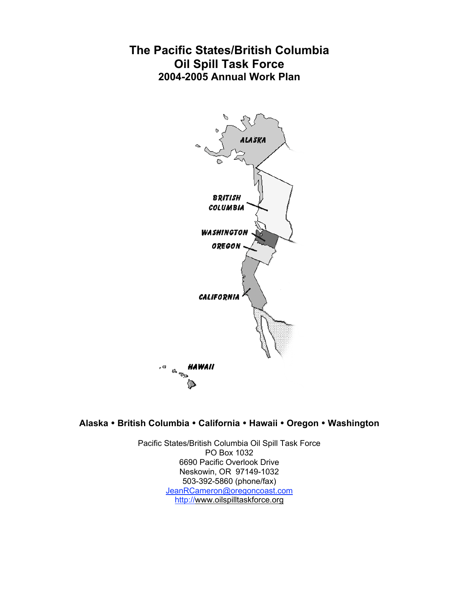# **The Pacific States/British Columbia Oil Spill Task Force 2004-2005 Annual Work Plan**



# **Alaska** • **British Columbia** • **California** • **Hawaii** • **Oregon** • **Washington**

Pacific States/British Columbia Oil Spill Task Force PO Box 1032 6690 Pacific Overlook Drive Neskowin, OR 97149-1032 503-392-5860 (phone/fax) JeanRCameron@oregoncoast.com http://www.oilspilltaskforce.org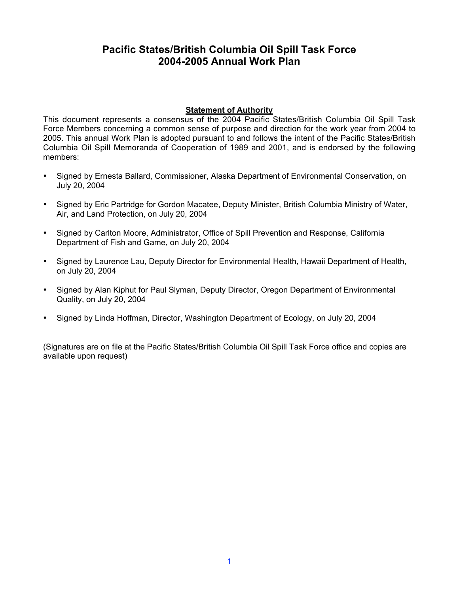# **Pacific States/British Columbia Oil Spill Task Force 2004-2005 Annual Work Plan**

#### **Statement of Authority**

This document represents a consensus of the 2004 Pacific States/British Columbia Oil Spill Task Force Members concerning a common sense of purpose and direction for the work year from 2004 to 2005. This annual Work Plan is adopted pursuant to and follows the intent of the Pacific States/British Columbia Oil Spill Memoranda of Cooperation of 1989 and 2001, and is endorsed by the following members:

- Signed by Ernesta Ballard, Commissioner, Alaska Department of Environmental Conservation, on July 20, 2004
- Signed by Eric Partridge for Gordon Macatee, Deputy Minister, British Columbia Ministry of Water, Air, and Land Protection, on July 20, 2004
- Signed by Carlton Moore, Administrator, Office of Spill Prevention and Response, California Department of Fish and Game, on July 20, 2004
- Signed by Laurence Lau, Deputy Director for Environmental Health, Hawaii Department of Health, on July 20, 2004
- Signed by Alan Kiphut for Paul Slyman, Deputy Director, Oregon Department of Environmental Quality, on July 20, 2004
- Signed by Linda Hoffman, Director, Washington Department of Ecology, on July 20, 2004

(Signatures are on file at the Pacific States/British Columbia Oil Spill Task Force office and copies are available upon request)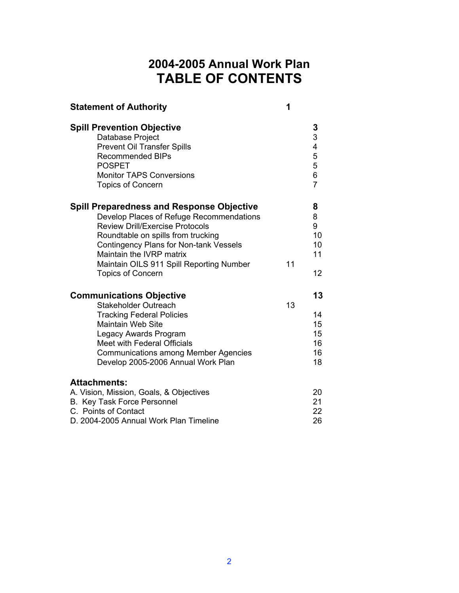# **2004-2005 Annual Work Plan TABLE OF CONTENTS**

| 1<br><b>Statement of Authority</b>                                                                                                                                                                                                                                                                                                |    |                                                     |
|-----------------------------------------------------------------------------------------------------------------------------------------------------------------------------------------------------------------------------------------------------------------------------------------------------------------------------------|----|-----------------------------------------------------|
| <b>Spill Prevention Objective</b><br>Database Project<br><b>Prevent Oil Transfer Spills</b><br><b>Recommended BIPs</b><br><b>POSPET</b><br><b>Monitor TAPS Conversions</b><br><b>Topics of Concern</b>                                                                                                                            |    | $\frac{3}{3}$<br>4<br>5<br>5<br>6<br>$\overline{7}$ |
| <b>Spill Preparedness and Response Objective</b><br>Develop Places of Refuge Recommendations<br><b>Review Drill/Exercise Protocols</b><br>Roundtable on spills from trucking<br><b>Contingency Plans for Non-tank Vessels</b><br>Maintain the IVRP matrix<br>Maintain OILS 911 Spill Reporting Number<br><b>Topics of Concern</b> | 11 | 8<br>8<br>9<br>10<br>10<br>11<br>12                 |
| <b>Communications Objective</b><br><b>Stakeholder Outreach</b><br><b>Tracking Federal Policies</b><br><b>Maintain Web Site</b><br>Legacy Awards Program<br>Meet with Federal Officials<br><b>Communications among Member Agencies</b><br>Develop 2005-2006 Annual Work Plan                                                       | 13 | 13<br>14<br>15<br>15<br>16<br>16<br>18              |
| <b>Attachments:</b><br>A. Vision, Mission, Goals, & Objectives<br>B. Key Task Force Personnel<br>C. Points of Contact<br>D. 2004-2005 Annual Work Plan Timeline                                                                                                                                                                   |    | 20<br>21<br>22<br>26                                |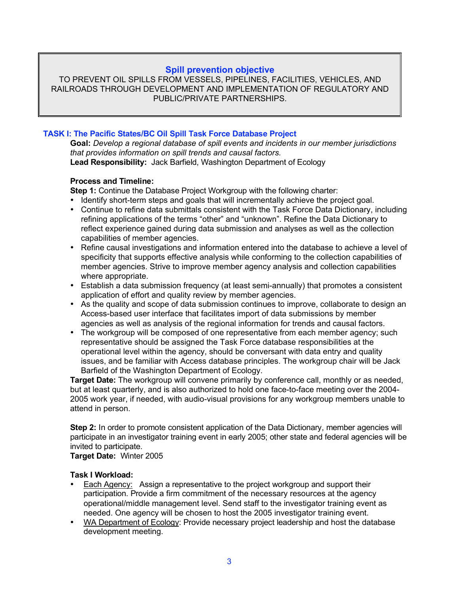#### **Spill prevention objective**

TO PREVENT OIL SPILLS FROM VESSELS, PIPELINES, FACILITIES, VEHICLES, AND RAILROADS THROUGH DEVELOPMENT AND IMPLEMENTATION OF REGULATORY AND PUBLIC/PRIVATE PARTNERSHIPS.

#### **TASK I: The Pacific States/BC Oil Spill Task Force Database Project**

**Goal:** *Develop a regional database of spill events and incidents in our member jurisdictions that provides information on spill trends and causal factors.* **Lead Responsibility:** Jack Barfield, Washington Department of Ecology

#### **Process and Timeline:**

**Step 1:** Continue the Database Project Workgroup with the following charter:

- Identify short-term steps and goals that will incrementally achieve the project goal.
- Continue to refine data submittals consistent with the Task Force Data Dictionary, including refining applications of the terms "other" and "unknown". Refine the Data Dictionary to reflect experience gained during data submission and analyses as well as the collection capabilities of member agencies.
- Refine causal investigations and information entered into the database to achieve a level of specificity that supports effective analysis while conforming to the collection capabilities of member agencies. Strive to improve member agency analysis and collection capabilities where appropriate.
- Establish a data submission frequency (at least semi-annually) that promotes a consistent application of effort and quality review by member agencies.
- As the quality and scope of data submission continues to improve, collaborate to design an Access-based user interface that facilitates import of data submissions by member agencies as well as analysis of the regional information for trends and causal factors.
- The workgroup will be composed of one representative from each member agency; such representative should be assigned the Task Force database responsibilities at the operational level within the agency, should be conversant with data entry and quality issues, and be familiar with Access database principles. The workgroup chair will be Jack Barfield of the Washington Department of Ecology.

**Target Date:** The workgroup will convene primarily by conference call, monthly or as needed, but at least quarterly, and is also authorized to hold one face-to-face meeting over the 2004- 2005 work year, if needed, with audio-visual provisions for any workgroup members unable to attend in person.

**Step 2:** In order to promote consistent application of the Data Dictionary, member agencies will participate in an investigator training event in early 2005; other state and federal agencies will be invited to participate.

#### **Target Date:** Winter 2005

- Each Agency: Assign a representative to the project workgroup and support their participation. Provide a firm commitment of the necessary resources at the agency operational/middle management level. Send staff to the investigator training event as needed. One agency will be chosen to host the 2005 investigator training event.
- WA Department of Ecology: Provide necessary project leadership and host the database development meeting.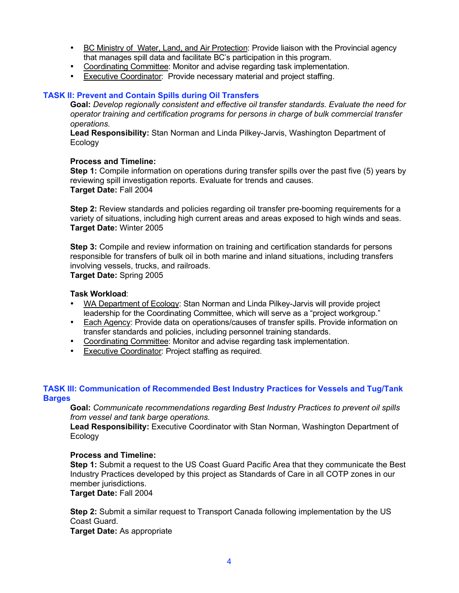- BC Ministry of Water, Land, and Air Protection: Provide liaison with the Provincial agency that manages spill data and facilitate BC's participation in this program.
- Coordinating Committee: Monitor and advise regarding task implementation.
- Executive Coordinator: Provide necessary material and project staffing.

#### **TASK II: Prevent and Contain Spills during Oil Transfers**

**Goal:** *Develop regionally consistent and effective oil transfer standards. Evaluate the need for operator training and certification programs for persons in charge of bulk commercial transfer operations.*

**Lead Responsibility:** Stan Norman and Linda Pilkey-Jarvis, Washington Department of **Ecology** 

#### **Process and Timeline:**

**Step 1:** Compile information on operations during transfer spills over the past five (5) years by reviewing spill investigation reports. Evaluate for trends and causes. **Target Date:** Fall 2004

**Step 2:** Review standards and policies regarding oil transfer pre-booming requirements for a variety of situations, including high current areas and areas exposed to high winds and seas. **Target Date:** Winter 2005

**Step 3:** Compile and review information on training and certification standards for persons responsible for transfers of bulk oil in both marine and inland situations, including transfers involving vessels, trucks, and railroads.

**Target Date:** Spring 2005

#### **Task Workload**:

- WA Department of Ecology: Stan Norman and Linda Pilkey-Jarvis will provide project leadership for the Coordinating Committee, which will serve as a "project workgroup."
- Each Agency: Provide data on operations/causes of transfer spills. Provide information on transfer standards and policies, including personnel training standards.
- Coordinating Committee: Monitor and advise regarding task implementation.
- **Executive Coordinator: Project staffing as required.**

#### **TASK III: Communication of Recommended Best Industry Practices for Vessels and Tug/Tank Barges**

**Goal:** *Communicate recommendations regarding Best Industry Practices to prevent oil spills from vessel and tank barge operations.*

**Lead Responsibility:** Executive Coordinator with Stan Norman, Washington Department of Ecology

#### **Process and Timeline:**

**Step 1:** Submit a request to the US Coast Guard Pacific Area that they communicate the Best Industry Practices developed by this project as Standards of Care in all COTP zones in our member jurisdictions.

**Target Date:** Fall 2004

**Step 2:** Submit a similar request to Transport Canada following implementation by the US Coast Guard.

**Target Date:** As appropriate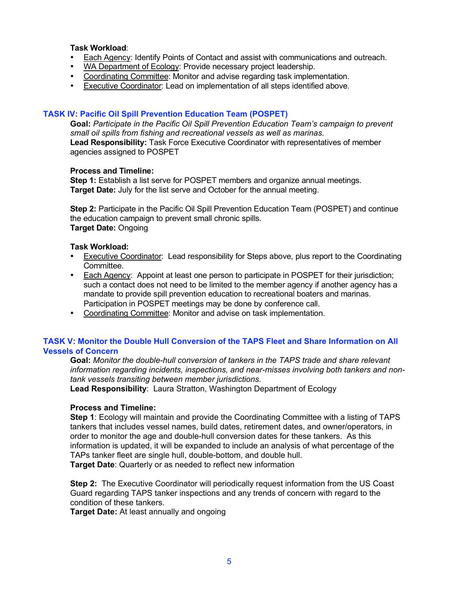#### **Task Workload**:

- Each Agency: Identify Points of Contact and assist with communications and outreach.<br>• WA Department of Ecology: Provide necessary project leadership
- WA Department of Ecology: Provide necessary project leadership.
- Coordinating Committee: Monitor and advise regarding task implementation.
- Executive Coordinator: Lead on implementation of all steps identified above.

#### **TASK IV: Pacific Oil Spill Prevention Education Team (POSPET)**

**Goal:** *Participate in the Pacific Oil Spill Prevention Education Team's campaign to prevent small oil spills from fishing and recreational vessels as well as marinas.* **Lead Responsibility:** Task Force Executive Coordinator with representatives of member agencies assigned to POSPET

#### **Process and Timeline:**

**Step 1:** Establish a list serve for POSPET members and organize annual meetings. **Target Date:** July for the list serve and October for the annual meeting.

**Step 2:** Participate in the Pacific Oil Spill Prevention Education Team (POSPET) and continue the education campaign to prevent small chronic spills. **Target Date:** Ongoing

#### **Task Workload:**

- Executive Coordinator: Lead responsibility for Steps above, plus report to the Coordinating Committee.
- Each Agency: Appoint at least one person to participate in POSPET for their jurisdiction; such a contact does not need to be limited to the member agency if another agency has a mandate to provide spill prevention education to recreational boaters and marinas. Participation in POSPET meetings may be done by conference call.
- Coordinating Committee: Monitor and advise on task implementation.

#### **TASK V: Monitor the Double Hull Conversion of the TAPS Fleet and Share Information on All Vessels of Concern**

**Goal:** *Monitor the double-hull conversion of tankers in the TAPS trade and share relevant information regarding incidents, inspections, and near-misses involving both tankers and nontank vessels transiting between member jurisdictions.*

**Lead Responsibility**: Laura Stratton, Washington Department of Ecology

#### **Process and Timeline:**

**Step 1**: Ecology will maintain and provide the Coordinating Committee with a listing of TAPS tankers that includes vessel names, build dates, retirement dates, and owner/operators, in order to monitor the age and double-hull conversion dates for these tankers. As this information is updated, it will be expanded to include an analysis of what percentage of the TAPs tanker fleet are single hull, double-bottom, and double hull. **Target Date**: Quarterly or as needed to reflect new information

**Step 2:** The Executive Coordinator will periodically request information from the US Coast Guard regarding TAPS tanker inspections and any trends of concern with regard to the condition of these tankers.

**Target Date:** At least annually and ongoing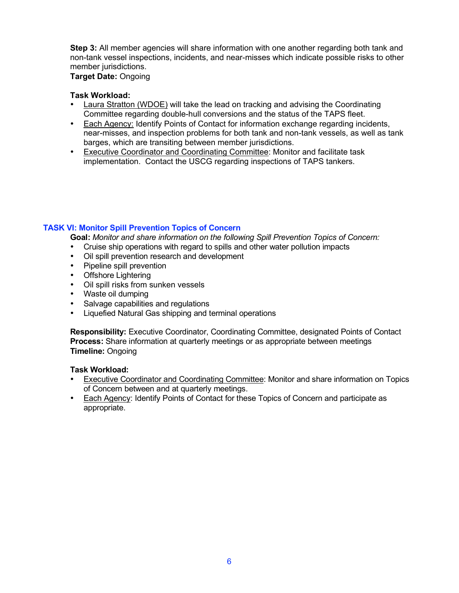**Step 3:** All member agencies will share information with one another regarding both tank and non-tank vessel inspections, incidents, and near-misses which indicate possible risks to other member jurisdictions.

**Target Date:** Ongoing

#### **Task Workload:**

- Laura Stratton (WDOE) will take the lead on tracking and advising the Coordinating Committee regarding double-hull conversions and the status of the TAPS fleet.
- Each Agency: Identify Points of Contact for information exchange regarding incidents, near-misses, and inspection problems for both tank and non-tank vessels, as well as tank barges, which are transiting between member jurisdictions.
- Executive Coordinator and Coordinating Committee: Monitor and facilitate task implementation. Contact the USCG regarding inspections of TAPS tankers.

### **TASK VI: Monitor Spill Prevention Topics of Concern**

**Goal:** *Monitor and share information on the following Spill Prevention Topics of Concern:*

- Cruise ship operations with regard to spills and other water pollution impacts<br>• Oil spill prevention research and development
- Oil spill prevention research and development
- Pipeline spill prevention
- Offshore Lightering
- Oil spill risks from sunken vessels
- Waste oil dumping
- Salvage capabilities and regulations
- Liquefied Natural Gas shipping and terminal operations

**Responsibility:** Executive Coordinator, Coordinating Committee, designated Points of Contact **Process:** Share information at quarterly meetings or as appropriate between meetings **Timeline:** Ongoing

- Executive Coordinator and Coordinating Committee: Monitor and share information on Topics of Concern between and at quarterly meetings.
- Each Agency: Identify Points of Contact for these Topics of Concern and participate as appropriate.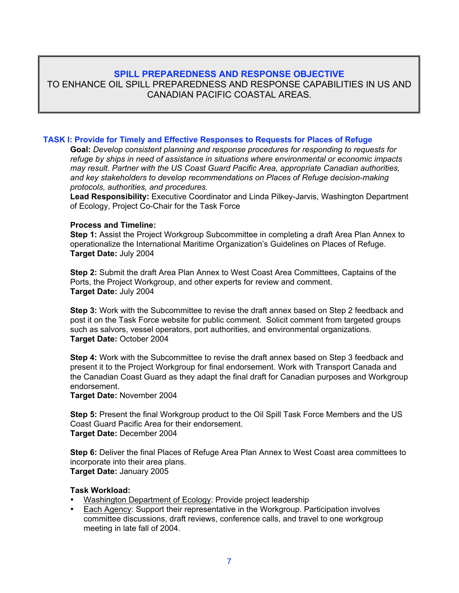#### **SPILL PREPAREDNESS AND RESPONSE OBJECTIVE**

TO ENHANCE OIL SPILL PREPAREDNESS AND RESPONSE CAPABILITIES IN US AND CANADIAN PACIFIC COASTAL AREAS.

#### **TASK I: Provide for Timely and Effective Responses to Requests for Places of Refuge**

**Goal:** *Develop consistent planning and response procedures for responding to requests for refuge by ships in need of assistance in situations where environmental or economic impacts may result. Partner with the US Coast Guard Pacific Area, appropriate Canadian authorities, and key stakeholders to develop recommendations on Places of Refuge decision-making protocols, authorities, and procedures.*

**Lead Responsibility:** Executive Coordinator and Linda Pilkey-Jarvis, Washington Department of Ecology, Project Co-Chair for the Task Force

#### **Process and Timeline:**

**Step 1:** Assist the Project Workgroup Subcommittee in completing a draft Area Plan Annex to operationalize the International Maritime Organization's Guidelines on Places of Refuge. **Target Date:** July 2004

**Step 2:** Submit the draft Area Plan Annex to West Coast Area Committees, Captains of the Ports, the Project Workgroup, and other experts for review and comment. **Target Date:** July 2004

**Step 3:** Work with the Subcommittee to revise the draft annex based on Step 2 feedback and post it on the Task Force website for public comment. Solicit comment from targeted groups such as salvors, vessel operators, port authorities, and environmental organizations. **Target Date:** October 2004

**Step 4:** Work with the Subcommittee to revise the draft annex based on Step 3 feedback and present it to the Project Workgroup for final endorsement. Work with Transport Canada and the Canadian Coast Guard as they adapt the final draft for Canadian purposes and Workgroup endorsement.

**Target Date:** November 2004

**Step 5:** Present the final Workgroup product to the Oil Spill Task Force Members and the US Coast Guard Pacific Area for their endorsement. **Target Date:** December 2004

**Step 6:** Deliver the final Places of Refuge Area Plan Annex to West Coast area committees to incorporate into their area plans. **Target Date:** January 2005

- Washington Department of Ecology: Provide project leadership
- Each Agency: Support their representative in the Workgroup. Participation involves committee discussions, draft reviews, conference calls, and travel to one workgroup meeting in late fall of 2004.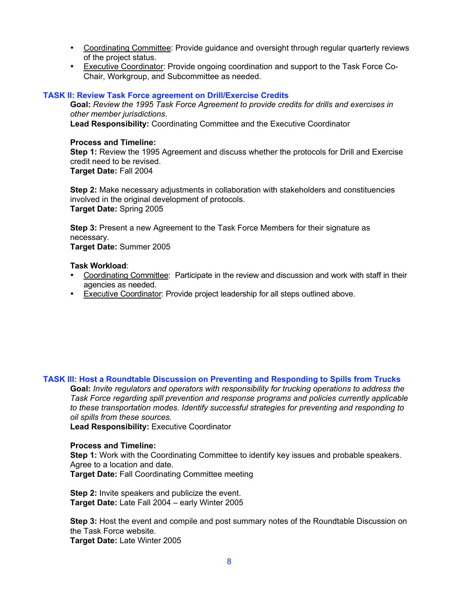- Coordinating Committee: Provide guidance and oversight through regular quarterly reviews of the project status.
- Executive Coordinator: Provide ongoing coordination and support to the Task Force Co-Chair, Workgroup, and Subcommittee as needed.

#### **TASK II: Review Task Force agreement on Drill/Exercise Credits**

**Goal:** *Review the 1995 Task Force Agreement to provide credits for drills and exercises in other member jurisdictions*.

**Lead Responsibility:** Coordinating Committee and the Executive Coordinator

#### **Process and Timeline:**

**Step 1:** Review the 1995 Agreement and discuss whether the protocols for Drill and Exercise credit need to be revised.

**Target Date:** Fall 2004

**Step 2:** Make necessary adjustments in collaboration with stakeholders and constituencies involved in the original development of protocols. **Target Date:** Spring 2005

**Step 3:** Present a new Agreement to the Task Force Members for their signature as necessary.

**Target Date:** Summer 2005

#### **Task Workload**:

- Coordinating Committee: Participate in the review and discussion and work with staff in their agencies as needed.
- Executive Coordinator: Provide project leadership for all steps outlined above.

#### **TASK III: Host a Roundtable Discussion on Preventing and Responding to Spills from Trucks**

**Goal:** *Invite regulators and operators with responsibility for trucking operations to address the Task Force regarding spill prevention and response programs and policies currently applicable to these transportation modes. Identify successful strategies for preventing and responding to oil spills from these sources.*

**Lead Responsibility:** Executive Coordinator

#### **Process and Timeline:**

**Step 1:** Work with the Coordinating Committee to identify key issues and probable speakers. Agree to a location and date. **Target Date:** Fall Coordinating Committee meeting

**Step 2:** Invite speakers and publicize the event. **Target Date:** Late Fall 2004 – early Winter 2005

**Step 3:** Host the event and compile and post summary notes of the Roundtable Discussion on the Task Force website. **Target Date:** Late Winter 2005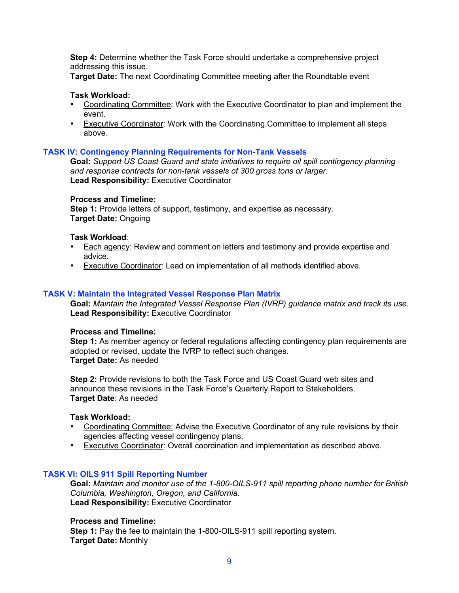**Step 4:** Determine whether the Task Force should undertake a comprehensive project addressing this issue.

**Target Date:** The next Coordinating Committee meeting after the Roundtable event

#### **Task Workload:**

- Coordinating Committee: Work with the Executive Coordinator to plan and implement the event.
- Executive Coordinator: Work with the Coordinating Committee to implement all steps above.

#### **TASK IV: Contingency Planning Requirements for Non-Tank Vessels**

**Goal:** *Support US Coast Guard and state initiatives to require oil spill contingency planning and response contracts for non-tank vessels of 300 gross tons or larger.* **Lead Responsibility:** Executive Coordinator

#### **Process and Timeline:**

Step 1: Provide letters of support, testimony, and expertise as necessary. **Target Date:** Ongoing

#### **Task Workload**:

- Each agency: Review and comment on letters and testimony and provide expertise and advice**.**
- Executive Coordinator: Lead on implementation of all methods identified above.

#### **TASK V: Maintain the Integrated Vessel Response Plan Matrix**

**Goal:** *Maintain the Integrated Vessel Response Plan (IVRP) guidance matrix and track its use.* **Lead Responsibility:** Executive Coordinator

#### **Process and Timeline:**

**Step 1:** As member agency or federal regulations affecting contingency plan requirements are adopted or revised, update the IVRP to reflect such changes. **Target Date:** As needed

**Step 2:** Provide revisions to both the Task Force and US Coast Guard web sites and announce these revisions in the Task Force's Quarterly Report to Stakeholders. **Target Date**: As needed

#### **Task Workload:**

- Coordinating Committee: Advise the Executive Coordinator of any rule revisions by their agencies affecting vessel contingency plans.
- Executive Coordinator: Overall coordination and implementation as described above.

#### **TASK VI: OILS 911 Spill Reporting Number**

**Goal:** *Maintain and monitor use of the 1-800-OILS-911 spill reporting phone number for British Columbia, Washington, Oregon, and California.* **Lead Responsibility:** Executive Coordinator

#### **Process and Timeline:**

**Step 1:** Pay the fee to maintain the 1-800-OILS-911 spill reporting system. **Target Date:** Monthly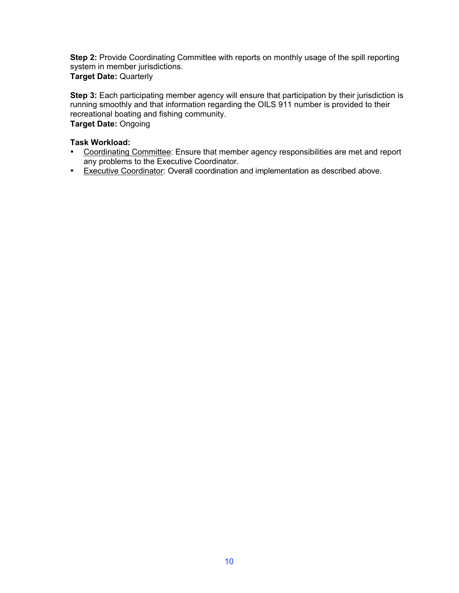**Step 2:** Provide Coordinating Committee with reports on monthly usage of the spill reporting system in member jurisdictions. **Target Date:** Quarterly

**Step 3:** Each participating member agency will ensure that participation by their jurisdiction is running smoothly and that information regarding the OILS 911 number is provided to their recreational boating and fishing community. **Target Date:** Ongoing

- Coordinating Committee: Ensure that member agency responsibilities are met and report any problems to the Executive Coordinator.
- Executive Coordinator: Overall coordination and implementation as described above.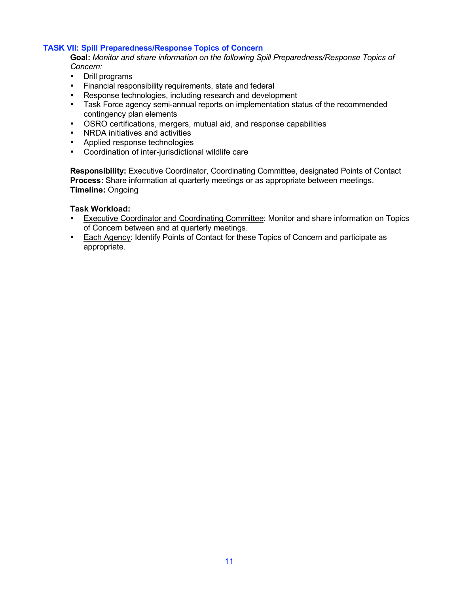#### **TASK VII: Spill Preparedness/Response Topics of Concern**

**Goal:** *Monitor and share information on the following Spill Preparedness/Response Topics of Concern:*

- Drill programs<br>• Financial respo
- Financial responsibility requirements, state and federal
- Response technologies, including research and development<br>• Task Force agency semi-annual reports on implementation sta
- Task Force agency semi-annual reports on implementation status of the recommended contingency plan elements
- OSRO certifications, mergers, mutual aid, and response capabilities
- NRDA initiatives and activities
- Applied response technologies<br>• Coordination of inter-iurisdiction
- Coordination of inter-jurisdictional wildlife care

**Responsibility:** Executive Coordinator, Coordinating Committee, designated Points of Contact **Process:** Share information at quarterly meetings or as appropriate between meetings. **Timeline:** Ongoing

- Executive Coordinator and Coordinating Committee: Monitor and share information on Topics of Concern between and at quarterly meetings.
- Each Agency: Identify Points of Contact for these Topics of Concern and participate as appropriate.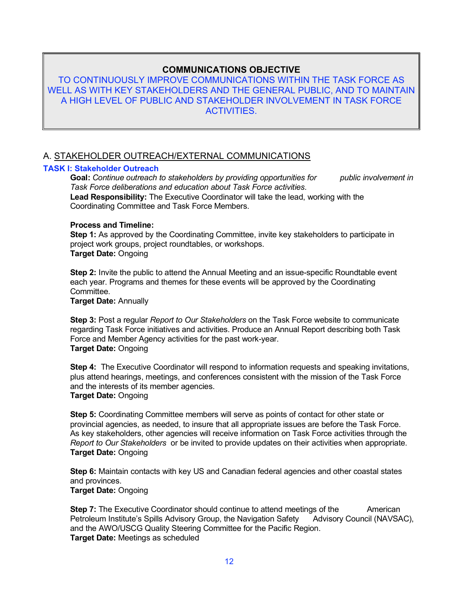### **COMMUNICATIONS OBJECTIVE**

TO CONTINUOUSLY IMPROVE COMMUNICATIONS WITHIN THE TASK FORCE AS WELL AS WITH KEY STAKEHOLDERS AND THE GENERAL PUBLIC, AND TO MAINTAIN A HIGH LEVEL OF PUBLIC AND STAKEHOLDER INVOLVEMENT IN TASK FORCE ACTIVITIES.

### A. STAKEHOLDER OUTREACH/EXTERNAL COMMUNICATIONS

#### **TASK I: Stakeholder Outreach**

**Goal:** *Continue outreach to stakeholders by providing opportunities for public involvement in Task Force deliberations and education about Task Force activities.* **Lead Responsibility:** The Executive Coordinator will take the lead, working with the Coordinating Committee and Task Force Members.

#### **Process and Timeline:**

**Step 1:** As approved by the Coordinating Committee, invite key stakeholders to participate in project work groups, project roundtables, or workshops. **Target Date:** Ongoing

**Step 2:** Invite the public to attend the Annual Meeting and an issue-specific Roundtable event each year. Programs and themes for these events will be approved by the Coordinating Committee.

**Target Date:** Annually

**Step 3:** Post a regular *Report to Our Stakeholders* on the Task Force website to communicate regarding Task Force initiatives and activities. Produce an Annual Report describing both Task Force and Member Agency activities for the past work-year. **Target Date:** Ongoing

**Step 4:** The Executive Coordinator will respond to information requests and speaking invitations, plus attend hearings, meetings, and conferences consistent with the mission of the Task Force and the interests of its member agencies. **Target Date:** Ongoing

**Step 5:** Coordinating Committee members will serve as points of contact for other state or provincial agencies, as needed, to insure that all appropriate issues are before the Task Force. As key stakeholders, other agencies will receive information on Task Force activities through the *Report to Our Stakeholders* or be invited to provide updates on their activities when appropriate. **Target Date:** Ongoing

**Step 6:** Maintain contacts with key US and Canadian federal agencies and other coastal states and provinces. **Target Date:** Ongoing

**Step 7:** The Executive Coordinator should continue to attend meetings of the American Petroleum Institute's Spills Advisory Group, the Navigation Safety Advisory Council (NAVSAC), and the AWO/USCG Quality Steering Committee for the Pacific Region. **Target Date:** Meetings as scheduled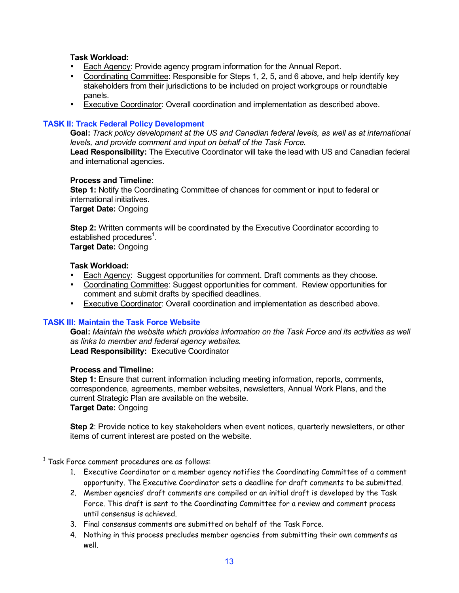#### **Task Workload:**

- Each Agency: Provide agency program information for the Annual Report.<br>• Coordinating Committee: Responsible for Steps 1, 2, 5, and 6 above, and l
- Coordinating Committee: Responsible for Steps 1, 2, 5, and 6 above, and help identify key stakeholders from their jurisdictions to be included on project workgroups or roundtable panels.
- Executive Coordinator: Overall coordination and implementation as described above.

#### **TASK II: Track Federal Policy Development**

**Goal:** *Track policy development at the US and Canadian federal levels, as well as at international levels, and provide comment and input on behalf of the Task Force.*

**Lead Responsibility:** The Executive Coordinator will take the lead with US and Canadian federal and international agencies.

#### **Process and Timeline:**

**Step 1:** Notify the Coordinating Committee of chances for comment or input to federal or international initiatives.

**Target Date:** Ongoing

**Step 2:** Written comments will be coordinated by the Executive Coordinator according to established procedures $^1$ .

**Target Date:** Ongoing

#### **Task Workload:**

- Each Agency: Suggest opportunities for comment. Draft comments as they choose.
- Coordinating Committee: Suggest opportunities for comment. Review opportunities for comment and submit drafts by specified deadlines.
- Executive Coordinator: Overall coordination and implementation as described above.

#### **TASK III: Maintain the Task Force Website**

**Goal:** *Maintain the website which provides information on the Task Force and its activities as well as links to member and federal agency websites.* **Lead Responsibility:** Executive Coordinator

#### **Process and Timeline:**

**Step 1:** Ensure that current information including meeting information, reports, comments, correspondence, agreements, member websites, newsletters, Annual Work Plans, and the current Strategic Plan are available on the website. **Target Date:** Ongoing

**Step 2**: Provide notice to key stakeholders when event notices, quarterly newsletters, or other items of current interest are posted on the website.

- 1. Executive Coordinator or a member agency notifies the Coordinating Committee of a comment opportunity. The Executive Coordinator sets a deadline for draft comments to be submitted.
- 2. Member agencies' draft comments are compiled or an initial draft is developed by the Task Force. This draft is sent to the Coordinating Committee for a review and comment process until consensus is achieved.
- 3. Final consensus comments are submitted on behalf of the Task Force.
- 4. Nothing in this process precludes member agencies from submitting their own comments as well.

 $^{\rm 1}$  Task Force comment procedures are as follows: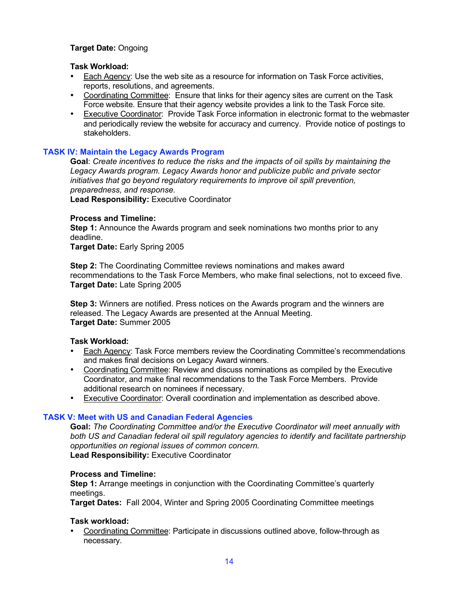#### **Target Date:** Ongoing

#### **Task Workload:**

- Each Agency: Use the web site as a resource for information on Task Force activities, reports, resolutions, and agreements.
- Coordinating Committee: Ensure that links for their agency sites are current on the Task Force website. Ensure that their agency website provides a link to the Task Force site.
- Executive Coordinator: Provide Task Force information in electronic format to the webmaster and periodically review the website for accuracy and currency. Provide notice of postings to stakeholders.

#### **TASK IV: Maintain the Legacy Awards Program**

**Goal**: *Create incentives to reduce the risks and the impacts of oil spills by maintaining the Legacy Awards program. Legacy Awards honor and publicize public and private sector initiatives that go beyond regulatory requirements to improve oil spill prevention, preparedness, and response.*

**Lead Responsibility:** Executive Coordinator

#### **Process and Timeline:**

**Step 1:** Announce the Awards program and seek nominations two months prior to any deadline.

**Target Date:** Early Spring 2005

**Step 2:** The Coordinating Committee reviews nominations and makes award recommendations to the Task Force Members, who make final selections, not to exceed five. **Target Date:** Late Spring 2005

**Step 3:** Winners are notified. Press notices on the Awards program and the winners are released. The Legacy Awards are presented at the Annual Meeting. **Target Date:** Summer 2005

#### **Task Workload:**

- Each Agency: Task Force members review the Coordinating Committee's recommendations and makes final decisions on Legacy Award winners.
- Coordinating Committee: Review and discuss nominations as compiled by the Executive Coordinator, and make final recommendations to the Task Force Members. Provide additional research on nominees if necessary.
- Executive Coordinator: Overall coordination and implementation as described above.

#### **TASK V: Meet with US and Canadian Federal Agencies**

**Goal:** *The Coordinating Committee and/or the Executive Coordinator will meet annually with both US and Canadian federal oil spill regulatory agencies to identify and facilitate partnership opportunities on regional issues of common concern.* **Lead Responsibility:** Executive Coordinator

#### **Process and Timeline:**

**Step 1:** Arrange meetings in conjunction with the Coordinating Committee's quarterly meetings.

**Target Dates:** Fall 2004, Winter and Spring 2005 Coordinating Committee meetings

#### **Task workload:**

• Coordinating Committee: Participate in discussions outlined above, follow-through as necessary.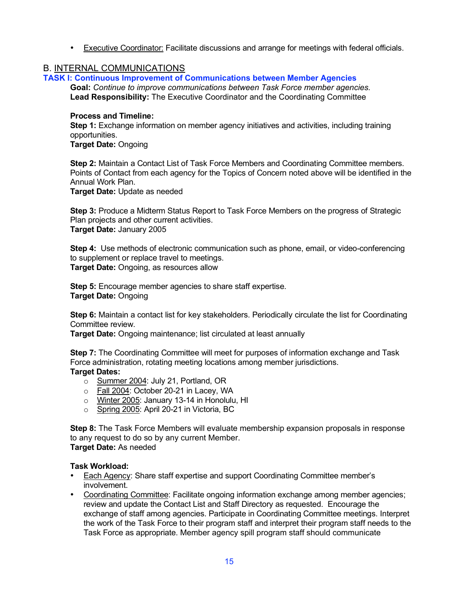• Executive Coordinator: Facilitate discussions and arrange for meetings with federal officials.

#### B. INTERNAL COMMUNICATIONS

**TASK I: Continuous Improvement of Communications between Member Agencies**

**Goal:** *Continue to improve communications between Task Force member agencies.* **Lead Responsibility:** The Executive Coordinator and the Coordinating Committee

#### **Process and Timeline:**

**Step 1:** Exchange information on member agency initiatives and activities, including training opportunities.

**Target Date:** Ongoing

**Step 2:** Maintain a Contact List of Task Force Members and Coordinating Committee members. Points of Contact from each agency for the Topics of Concern noted above will be identified in the Annual Work Plan.

**Target Date:** Update as needed

**Step 3:** Produce a Midterm Status Report to Task Force Members on the progress of Strategic Plan projects and other current activities. **Target Date:** January 2005

**Step 4:** Use methods of electronic communication such as phone, email, or video-conferencing to supplement or replace travel to meetings. **Target Date:** Ongoing, as resources allow

**Step 5:** Encourage member agencies to share staff expertise. **Target Date:** Ongoing

**Step 6:** Maintain a contact list for key stakeholders. Periodically circulate the list for Coordinating Committee review.

**Target Date:** Ongoing maintenance; list circulated at least annually

**Step 7:** The Coordinating Committee will meet for purposes of information exchange and Task Force administration, rotating meeting locations among member jurisdictions. **Target Dates:**

- o Summer 2004: July 21, Portland, OR
- o Fall 2004: October 20-21 in Lacey, WA
- o Winter 2005: January 13-14 in Honolulu, HI
- o Spring 2005: April 20-21 in Victoria, BC

**Step 8:** The Task Force Members will evaluate membership expansion proposals in response to any request to do so by any current Member. **Target Date:** As needed

- Each Agency: Share staff expertise and support Coordinating Committee member's involvement.
- Coordinating Committee: Facilitate ongoing information exchange among member agencies; review and update the Contact List and Staff Directory as requested. Encourage the exchange of staff among agencies. Participate in Coordinating Committee meetings. Interpret the work of the Task Force to their program staff and interpret their program staff needs to the Task Force as appropriate. Member agency spill program staff should communicate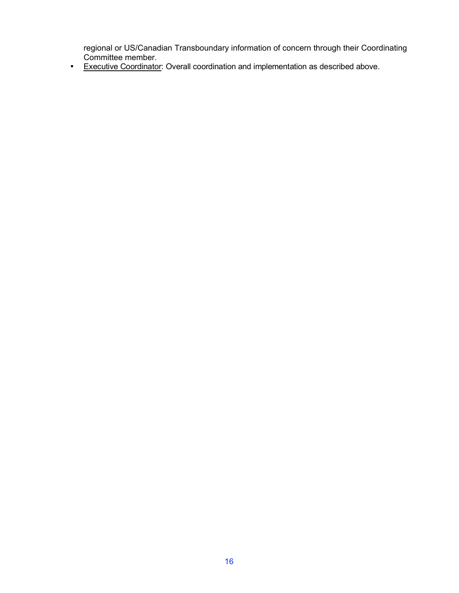regional or US/Canadian Transboundary information of concern through their Coordinating Committee member.

• Executive Coordinator: Overall coordination and implementation as described above.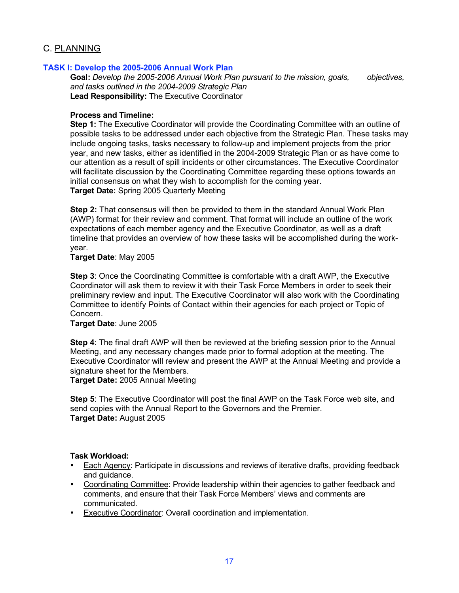#### C. PLANNING

#### **TASK I: Develop the 2005-2006 Annual Work Plan**

**Goal:** *Develop the 2005-2006 Annual Work Plan pursuant to the mission, goals, objectives, and tasks outlined in the 2004-2009 Strategic Plan* **Lead Responsibility:** The Executive Coordinator

#### **Process and Timeline:**

**Step 1:** The Executive Coordinator will provide the Coordinating Committee with an outline of possible tasks to be addressed under each objective from the Strategic Plan. These tasks may include ongoing tasks, tasks necessary to follow-up and implement projects from the prior year, and new tasks, either as identified in the 2004-2009 Strategic Plan or as have come to our attention as a result of spill incidents or other circumstances. The Executive Coordinator will facilitate discussion by the Coordinating Committee regarding these options towards an initial consensus on what they wish to accomplish for the coming year. **Target Date:** Spring 2005 Quarterly Meeting

**Step 2:** That consensus will then be provided to them in the standard Annual Work Plan (AWP) format for their review and comment. That format will include an outline of the work expectations of each member agency and the Executive Coordinator, as well as a draft timeline that provides an overview of how these tasks will be accomplished during the workyear.

#### **Target Date**: May 2005

**Step 3**: Once the Coordinating Committee is comfortable with a draft AWP, the Executive Coordinator will ask them to review it with their Task Force Members in order to seek their preliminary review and input. The Executive Coordinator will also work with the Coordinating Committee to identify Points of Contact within their agencies for each project or Topic of Concern.

#### **Target Date**: June 2005

**Step 4**: The final draft AWP will then be reviewed at the briefing session prior to the Annual Meeting, and any necessary changes made prior to formal adoption at the meeting. The Executive Coordinator will review and present the AWP at the Annual Meeting and provide a signature sheet for the Members.

**Target Date:** 2005 Annual Meeting

**Step 5**: The Executive Coordinator will post the final AWP on the Task Force web site, and send copies with the Annual Report to the Governors and the Premier. **Target Date:** August 2005

- **Each Agency: Participate in discussions and reviews of iterative drafts, providing feedback** and guidance.
- Coordinating Committee: Provide leadership within their agencies to gather feedback and comments, and ensure that their Task Force Members' views and comments are communicated.
- Executive Coordinator: Overall coordination and implementation.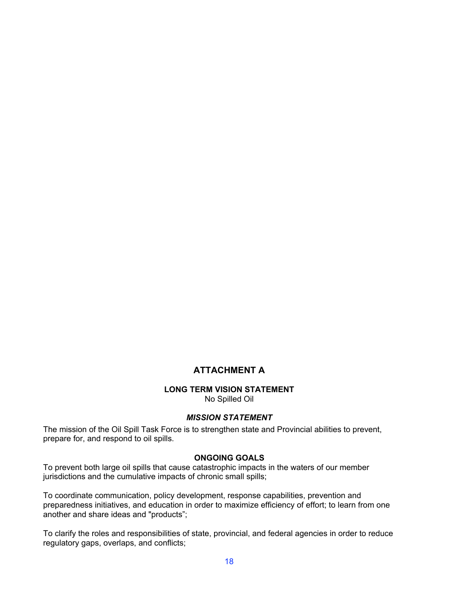# **ATTACHMENT A**

#### **LONG TERM VISION STATEMENT**

No Spilled Oil

#### *MISSION STATEMENT*

The mission of the Oil Spill Task Force is to strengthen state and Provincial abilities to prevent, prepare for, and respond to oil spills.

#### **ONGOING GOALS**

To prevent both large oil spills that cause catastrophic impacts in the waters of our member jurisdictions and the cumulative impacts of chronic small spills;

To coordinate communication, policy development, response capabilities, prevention and preparedness initiatives, and education in order to maximize efficiency of effort; to learn from one another and share ideas and "products";

To clarify the roles and responsibilities of state, provincial, and federal agencies in order to reduce regulatory gaps, overlaps, and conflicts;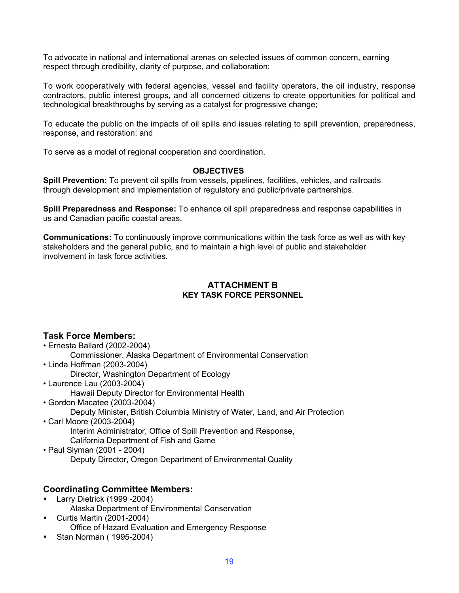To advocate in national and international arenas on selected issues of common concern, earning respect through credibility, clarity of purpose, and collaboration;

To work cooperatively with federal agencies, vessel and facility operators, the oil industry, response contractors, public interest groups, and all concerned citizens to create opportunities for political and technological breakthroughs by serving as a catalyst for progressive change;

To educate the public on the impacts of oil spills and issues relating to spill prevention, preparedness, response, and restoration; and

To serve as a model of regional cooperation and coordination.

#### **OBJECTIVES**

**Spill Prevention:** To prevent oil spills from vessels, pipelines, facilities, vehicles, and railroads through development and implementation of regulatory and public/private partnerships.

**Spill Preparedness and Response:** To enhance oil spill preparedness and response capabilities in us and Canadian pacific coastal areas.

**Communications:** To continuously improve communications within the task force as well as with key stakeholders and the general public, and to maintain a high level of public and stakeholder involvement in task force activities.

#### **ATTACHMENT B KEY TASK FORCE PERSONNEL**

#### **Task Force Members:**

- Ernesta Ballard (2002-2004)
	- Commissioner, Alaska Department of Environmental Conservation
- Linda Hoffman (2003-2004)
	- Director, Washington Department of Ecology
- Laurence Lau (2003-2004)
	- Hawaii Deputy Director for Environmental Health
- Gordon Macatee (2003-2004) Deputy Minister, British Columbia Ministry of Water, Land, and Air Protection
- Carl Moore (2003-2004) Interim Administrator, Office of Spill Prevention and Response, California Department of Fish and Game
- Paul Slyman (2001 2004) Deputy Director, Oregon Department of Environmental Quality

### **Coordinating Committee Members:**

- Larry Dietrick (1999 -2004) Alaska Department of Environmental Conservation
- Curtis Martin (2001-2004) Office of Hazard Evaluation and Emergency Response
- Stan Norman ( 1995-2004)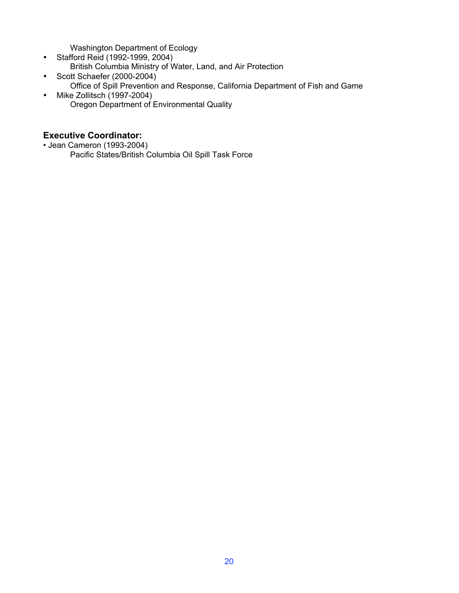Washington Department of Ecology

- Stafford Reid (1992-1999, 2004) British Columbia Ministry of Water, Land, and Air Protection
- Scott Schaefer (2000-2004)
	- Office of Spill Prevention and Response, California Department of Fish and Game
- Mike Zollitsch (1997-2004) Oregon Department of Environmental Quality

## **Executive Coordinator:**

• Jean Cameron (1993-2004) Pacific States/British Columbia Oil Spill Task Force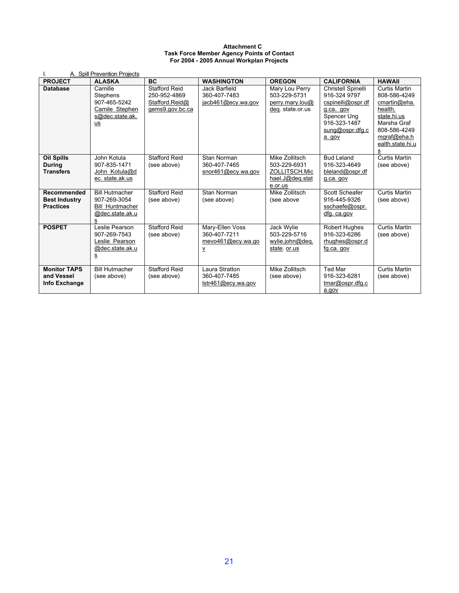#### **Attachment C Task Force Member Agency Points of Contact For 2004 - 2005 Annual Workplan Projects**

|                                                         | A. Spill Prevention Projects                                                            |                                                                           |                                                                  |                                                                               |                                                                                                                                  |                                                                                                                                                       |
|---------------------------------------------------------|-----------------------------------------------------------------------------------------|---------------------------------------------------------------------------|------------------------------------------------------------------|-------------------------------------------------------------------------------|----------------------------------------------------------------------------------------------------------------------------------|-------------------------------------------------------------------------------------------------------------------------------------------------------|
| <b>PROJECT</b>                                          | <b>ALASKA</b>                                                                           | <b>BC</b>                                                                 | <b>WASHINGTON</b>                                                | <b>OREGON</b>                                                                 | <b>CALIFORNIA</b>                                                                                                                | <b>HAWAII</b>                                                                                                                                         |
| <b>Database</b>                                         | Camille<br>Stephens<br>907-465-5242<br>Camile Stephen<br>s@dec.state.ak.<br>us          | <b>Stafford Reid</b><br>250-952-4869<br>Stafford Reid@<br>gems9.gov.bc.ca | Jack Barfield<br>360-407-7483<br>jacb461@ecy.wa.gov              | Mary Lou Perry<br>503-229-5731<br>perry.mary.lou@<br>deg. state.or.us         | Christell Spinelli<br>916-324 9797<br>cspinelli@ospr.df<br>q.ca. gov<br>Spencer Ung<br>916-323-1487<br>sung@ospr.dfg.c<br>a. gov | <b>Curtis Martin</b><br>808-586-4249<br>cmartin@eha.<br>health.<br>state.hi.us<br>Marsha Graf<br>808-586-4249<br>mgraf@eha.h<br>ealth state hi u<br>s |
| <b>Oil Spills</b><br><b>During</b><br><b>Transfers</b>  | John Kotula<br>907-835-1471<br>John Kotula@d<br>ec. state.ak.us                         | <b>Stafford Reid</b><br>(see above)                                       | Stan Norman<br>360-407-7465<br>snor461@ecv.wa.gov                | Mike Zollitsch<br>503-229-6931<br>ZOLLITSCH.Mic<br>hael.J@deq.stat<br>e.or.us | <b>Bud Leland</b><br>916-323-4649<br>bleland@ospr.df<br>g.ca. gov                                                                | <b>Curtis Martin</b><br>(see above)                                                                                                                   |
| Recommended<br><b>Best Industry</b><br><b>Practices</b> | <b>Bill Hutmacher</b><br>907-269-3054<br><b>Bill Huntmacher</b><br>@dec.state.ak.u<br>s | <b>Stafford Reid</b><br>(see above)                                       | Stan Norman<br>(see above)                                       | Mike Zollitsch<br>(see above                                                  | Scott Scheafer<br>916-445-9326<br>sschaefe@ospr.<br>dfg. ca.gov                                                                  | <b>Curtis Martin</b><br>(see above)                                                                                                                   |
| <b>POSPET</b>                                           | Leslie Pearson<br>907-269-7543<br>Leslie Pearson<br>@dec.state.ak.u<br>s                | Stafford Reid<br>(see above)                                              | Mary-Ellen Voss<br>360-407-7211<br>mevo461@ecy.wa.go<br><u>v</u> | Jack Wylie<br>503-229-5716<br>wylie.john@deq.<br>state or us                  | <b>Robert Hughes</b><br>916-323-6286<br>rhughes@ospr.d<br>fg.ca. gov                                                             | <b>Curtis Martin</b><br>(see above)                                                                                                                   |
| <b>Monitor TAPS</b><br>and Vessel<br>Info Exchange      | <b>Bill Hutmacher</b><br>(see above)                                                    | Stafford Reid<br>(see above)                                              | Laura Stratton<br>360-407-7485<br>lstr461@ecy.wa.gov             | Mike Zollitsch<br>(see above)                                                 | <b>Ted Mar</b><br>916-323-6281<br>tmar@ospr.dfq.c<br>a.gov                                                                       | <b>Curtis Martin</b><br>(see above)                                                                                                                   |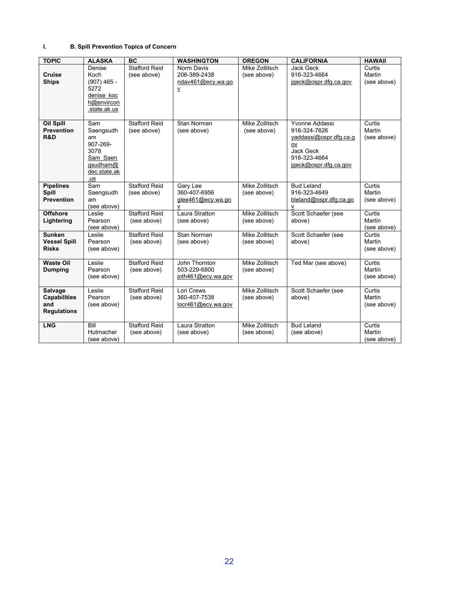#### **I. B. Spill Prevention Topics of Concern**

| <b>TOPIC</b>                                                       | <b>ALASKA</b>                                                                             | <b>BC</b>                           | <b>WASHINGTON</b>                                                           | <b>OREGON</b>                        | <b>CALIFORNIA</b>                                                                                                    | <b>HAWAII</b>                   |
|--------------------------------------------------------------------|-------------------------------------------------------------------------------------------|-------------------------------------|-----------------------------------------------------------------------------|--------------------------------------|----------------------------------------------------------------------------------------------------------------------|---------------------------------|
| <b>Cruise</b><br><b>Ships</b>                                      | Denise<br>Koch<br>$(907)$ 465 -<br>5272<br>denise koc<br>h@envircon<br>.state.ak.us       | <b>Stafford Reid</b><br>(see above) | Norm Davis<br>206-389-2438<br>ndav461@ecy.wa.go<br>$\underline{\mathsf{v}}$ | Mike Zollitsch<br>(see above)        | <b>Jack Geck</b><br>916-323-4664<br>jgeck@ospr.dfg.ca.gov                                                            | Curtis<br>Martin<br>(see above) |
| <b>Oil Spill</b><br><b>Prevention</b><br>R&D                       | Sam<br>Saengsudh<br>am<br>907-269-<br>3078<br>Sam Saen<br>qsudham@<br>dec.state.ak<br>.us | <b>Stafford Reid</b><br>(see above) | Stan Norman<br>(see above)                                                  | Mike Zollitsch<br>(see above)        | Yvonne Addassi<br>916-324-7626<br>yaddassi@ospr.dfg.ca.g<br>ov<br>Jack Geck<br>916-323-4664<br>jqeck@ospr.dfq.ca.gov | Curtis<br>Martin<br>(see above) |
| <b>Pipelines</b><br>Spill<br><b>Prevention</b>                     | Sam<br>Saengsudh<br>am<br>(see above)                                                     | <b>Stafford Reid</b><br>(see above) | Gary Lee<br>360-407-6956<br>glee461@ecy.wa.go<br>$\mathsf{v}$               | <b>Mike Zollitsch</b><br>(see above) | <b>Bud Leland</b><br>916-323-4649<br>bleland@ospr.dfg.ca.go<br>v                                                     | Curtis<br>Martin<br>(see above) |
| <b>Offshore</b><br>Lightering                                      | Leslie<br>Pearson<br>(see above)                                                          | <b>Stafford Reid</b><br>(see above) | Laura Stratton<br>(see above)                                               | Mike Zollitsch<br>(see above)        | Scott Schaefer (see<br>above)                                                                                        | Curtis<br>Martin<br>(see above) |
| <b>Sunken</b><br><b>Vessel Spill</b><br><b>Risks</b>               | Leslie<br>Pearson<br>(see above)                                                          | <b>Stafford Reid</b><br>(see above) | Stan Norman<br>(see above)                                                  | Mike Zollitsch<br>(see above)        | Scott Schaefer (see<br>above)                                                                                        | Curtis<br>Martin<br>(see above) |
| <b>Waste Oil</b><br><b>Dumping</b>                                 | Leslie<br>Pearson<br>(see above)                                                          | <b>Stafford Reid</b><br>(see above) | John Thornton<br>503-229-6800<br>joth461@ecy.wa.gov                         | <b>Mike Zollitsch</b><br>(see above) | Ted Mar (see above)                                                                                                  | Curtis<br>Martin<br>(see above) |
| <b>Salvage</b><br><b>Capabilities</b><br>and<br><b>Regulations</b> | Leslie<br>Pearson<br>(see above)                                                          | <b>Stafford Reid</b><br>(see above) | Lori Crews<br>360-407-7538<br>locr461@ecy.wa.gov                            | Mike Zollitsch<br>(see above)        | Scott Schaefer (see<br>above)                                                                                        | Curtis<br>Martin<br>(see above) |
| <b>LNG</b>                                                         | Bill<br>Hutmacher<br>(see above)                                                          | <b>Stafford Reid</b><br>(see above) | Laura Stratton<br>(see above)                                               | Mike Zollitsch<br>(see above)        | <b>Bud Leland</b><br>(see above)                                                                                     | Curtis<br>Martin<br>(see above) |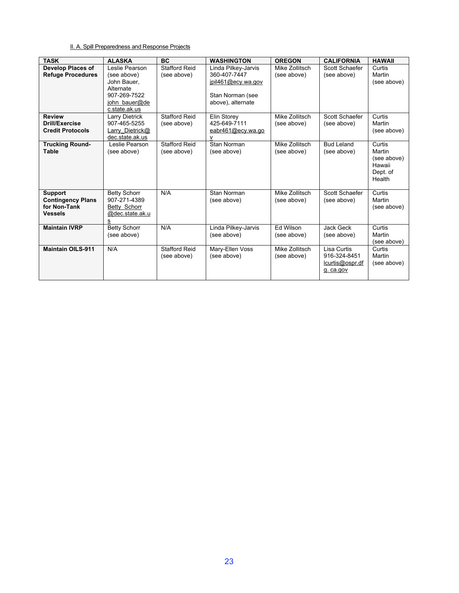#### II. A. Spill Preparedness and Response Projects

| <b>TASK</b>                                                                  | <b>ALASKA</b>                                                                                               | <b>BC</b>                           | <b>WASHINGTON</b>                                                                                  | <b>OREGON</b>                 | <b>CALIFORNIA</b>                                           | <b>HAWAII</b>                                                   |
|------------------------------------------------------------------------------|-------------------------------------------------------------------------------------------------------------|-------------------------------------|----------------------------------------------------------------------------------------------------|-------------------------------|-------------------------------------------------------------|-----------------------------------------------------------------|
| <b>Develop Places of</b><br><b>Refuge Procedures</b>                         | Leslie Pearson<br>(see above)<br>John Bauer.<br>Alternate<br>907-269-7522<br>john bauer@de<br>c.state.ak.us | <b>Stafford Reid</b><br>(see above) | Linda Pilkey-Jarvis<br>360-407-7447<br>jpil461@ecy.wa.gov<br>Stan Norman (see<br>above), alternate | Mike Zollitsch<br>(see above) | Scott Schaefer<br>(see above)                               | Curtis<br>Martin<br>(see above)                                 |
| <b>Review</b><br>Drill/Exercise<br><b>Credit Protocols</b>                   | Larry Dietrick<br>907-465-5255<br><b>Larry Dietrick@</b><br>dec.state.ak.us                                 | <b>Stafford Reid</b><br>(see above) | Elin Storey<br>425-649-7111<br>eabr461@ecy.wa.go<br>v                                              | Mike Zollitsch<br>(see above) | Scott Schaefer<br>(see above)                               | Curtis<br>Martin<br>(see above)                                 |
| <b>Trucking Round-</b><br>Table                                              | Leslie Pearson<br>(see above)                                                                               | <b>Stafford Reid</b><br>(see above) | Stan Norman<br>(see above)                                                                         | Mike Zollitsch<br>(see above) | <b>Bud Leland</b><br>(see above)                            | Curtis<br>Martin<br>(see above)<br>Hawaii<br>Dept. of<br>Health |
| <b>Support</b><br><b>Contingency Plans</b><br>for Non-Tank<br><b>Vessels</b> | <b>Betty Schorr</b><br>907-271-4389<br>Betty Schorr<br>@dec.state.ak.u<br>s                                 | N/A                                 | Stan Norman<br>(see above)                                                                         | Mike Zollitsch<br>(see above) | Scott Schaefer<br>(see above)                               | Curtis<br>Martin<br>(see above)                                 |
| <b>Maintain IVRP</b>                                                         | <b>Betty Schorr</b><br>(see above)                                                                          | N/A                                 | Linda Pilkey-Jarvis<br>(see above)                                                                 | Ed Wilson<br>(see above)      | <b>Jack Geck</b><br>(see above)                             | Curtis<br>Martin<br>(see above)                                 |
| <b>Maintain OILS-911</b>                                                     | N/A                                                                                                         | <b>Stafford Reid</b><br>(see above) | Mary-Ellen Voss<br>(see above)                                                                     | Mike Zollitsch<br>(see above) | Lisa Curtis<br>916-324-8451<br>lcurtis@ospr.df<br>g. ca.gov | Curtis<br>Martin<br>(see above)                                 |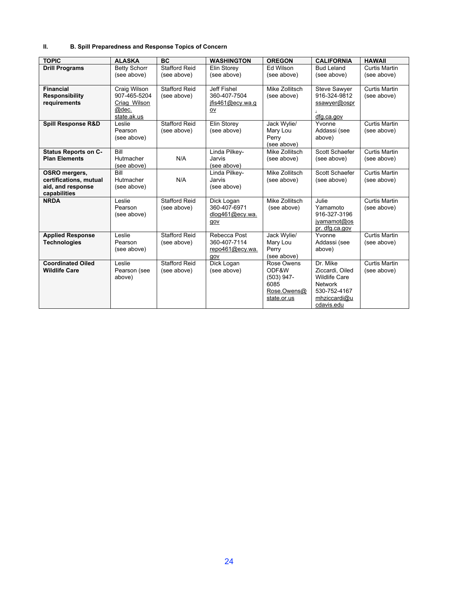#### **II. B. Spill Preparedness and Response Topics of Concern**

| <b>TOPIC</b>                      | <b>ALASKA</b>          | <b>BC</b>            | <b>WASHINGTON</b> | <b>OREGON</b>         | <b>CALIFORNIA</b>                       | <b>HAWAII</b>        |
|-----------------------------------|------------------------|----------------------|-------------------|-----------------------|-----------------------------------------|----------------------|
| <b>Drill Programs</b>             | <b>Betty Schorr</b>    | <b>Stafford Reid</b> | Elin Storey       | Ed Wilson             | <b>Bud Leland</b>                       | <b>Curtis Martin</b> |
|                                   | (see above)            | (see above)          | (see above)       | (see above)           | (see above)                             | (see above)          |
| <b>Financial</b>                  | Craig Wilson           | <b>Stafford Reid</b> | Jeff Fishel       | Mike Zollitsch        | <b>Steve Sawyer</b>                     | <b>Curtis Martin</b> |
| <b>Responsibility</b>             | 907-465-5204           | (see above)          | 360-407-7504      | (see above)           | 916-324-9812                            | (see above)          |
| requirements                      | Criag Wilson           |                      | ifis461@ecy.wa.g  |                       | ssawyer@ospr                            |                      |
|                                   | @dec.<br>state ak us   |                      | ov                |                       | dfg.ca.gov                              |                      |
| <b>Spill Response R&amp;D</b>     | Leslie                 | <b>Stafford Reid</b> | Elin Storey       | Jack Wylie/           | Yvonne                                  | <b>Curtis Martin</b> |
|                                   | Pearson                | (see above)          | (see above)       | Mary Lou              | Addassi (see                            | (see above)          |
|                                   | (see above)            |                      |                   | Perry<br>(see above)  | above)                                  |                      |
| <b>Status Reports on C-</b>       | Bill                   |                      | Linda Pilkey-     | Mike Zollitsch        | Scott Schaefer                          | Curtis Martin        |
| <b>Plan Elements</b>              | Hutmacher              | N/A                  | Jarvis            | (see above)           | (see above)                             | (see above)          |
|                                   | (see above)            |                      | (see above)       |                       |                                         |                      |
| OSRO mergers,                     | Bill                   |                      | Linda Pilkey-     | Mike Zollitsch        | Scott Schaefer                          | <b>Curtis Martin</b> |
| certifications, mutual            | Hutmacher              | N/A                  | Jarvis            | (see above)           | (see above)                             | (see above)          |
| aid, and response<br>capabilities | (see above)            |                      | (see above)       |                       |                                         |                      |
| <b>NRDA</b>                       | Leslie                 | <b>Stafford Reid</b> | Dick Logan        | Mike Zollitsch        | Julie                                   | Curtis Martin        |
|                                   | Pearson                | (see above)          | 360-407-6971      | (see above)           | Yamamoto                                | (see above)          |
|                                   | (see above)            |                      | dlog461@ecy.wa.   |                       | 916-327-3196                            |                      |
|                                   |                        |                      | gov               |                       | jyamamot@os                             |                      |
| <b>Applied Response</b>           | Leslie                 | <b>Stafford Reid</b> | Rebecca Post      | Jack Wylie/           | pr. dfg.ca.gov<br>Yvonne                | <b>Curtis Martin</b> |
| <b>Technologies</b>               | Pearson                | (see above)          | 360-407-7114      | Mary Lou              | Addassi (see                            | (see above)          |
|                                   | (see above)            |                      | repo461@ecy.wa.   | Perry                 | above)                                  |                      |
|                                   |                        |                      | qov               | (see above)           |                                         |                      |
| <b>Coordinated Oiled</b>          | I eslie                | <b>Stafford Reid</b> | Dick Logan        | Rose Owens            | Dr Mike                                 | Curtis Martin        |
| <b>Wildlife Care</b>              | Pearson (see<br>above) | (see above)          | (see above)       | ODF&W<br>$(503)$ 947- | Ziccardi, Oiled<br><b>Wildlife Care</b> | (see above)          |
|                                   |                        |                      |                   | 6085                  | <b>Network</b>                          |                      |
|                                   |                        |                      |                   | Rose.Owens@           | 530-752-4167                            |                      |
|                                   |                        |                      |                   | state.or.us           | mhziccardi@u                            |                      |
|                                   |                        |                      |                   |                       | cdavis.edu                              |                      |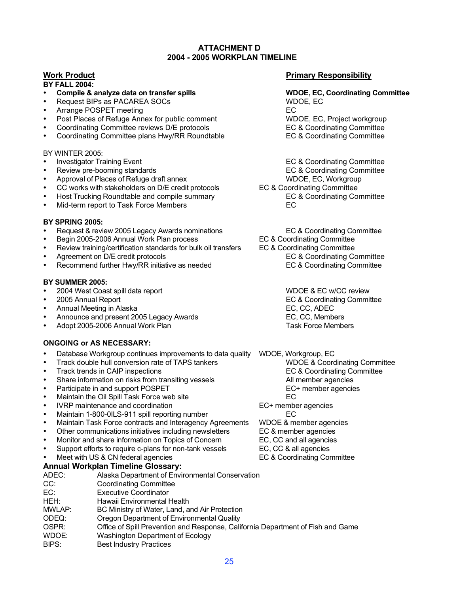#### **ATTACHMENT D 2004 - 2005 WORKPLAN TIMELINE**

#### **BY FALL 2004:**

- Request BIPs as PACAREA SOCs
- 
- Post Places of Refuge Annex for public comment WDOE, EC, Project workgroup<br>Coordinating Committee reviews D/E protocols EC & Coordinating Committee
- Coordinating Committee reviews D/E protocols<br>
Coordinating Committee plans Hwy/RR Roundtable<br>
EC & Coordinating Committee
- Coordinating Committee plans Hwy/RR Roundtable

#### BY WINTER 2005:

- 
- 
- Preview pre-booming standards<br>
Approval of Places of Refuge draft annex<br>
Approval of Places of Refuge draft annex<br>
The Music Constant Constant Constanting Committee Approval of Places of Refuge draft annex
- Approval of Places of Refuge draft annex<br>CC works with stakeholders on D/E credit protocols EC & Coordinating Committee
- Host Trucking Roundtable and compile summary EC & Coordinating Committee
- Mid-term report to Task Force Members

#### **BY SPRING 2005:**

- Request & review 2005 Legacy Awards nominations EC & Coordinating Committee
- 
- Begin 2005-2006 Annual Work Plan process EC & Coordinating Committee
- 
- Recommend further Hwy/RR initiative as needed

#### **BY SUMMER 2005:**

- 
- 
- 
- Annual Meeting in Alaska EC, CC, ADEC • Announce and present 2005 Legacy Awards EC, CC, Members
- Adopt 2005-2006 Annual Work Plan

#### **ONGOING or AS NECESSARY:**

- Database Workgroup continues improvements to data quality WDOE, Workgroup, EC<br>• Track double hull conversion rate of TAPS tankers WDOE, WODOE & Coordinating Committee
- 
- 
- Share information on risks from transiting vessels All member agencies<br>
Participate in and support POSPET<br>
EC+ member agencies
- 
- Participate in and support POSPET<br>• Maintain the Oil Spill Task Force web site extending the member agencies Maintain the Oil Spill Task Force web site<br>IVRP maintenance and coordination example and EC+ member agencies
- IVRP maintenance and coordination
- 
- Maintain 1-800-0ILS-911 spill reporting number EC Maintain Task Force contracts and Interagency Agreements WDOE & member agences<br>Other communications initiatives including newsletters EC & member agencies
- Other communications initiatives including newsletters EC & member agencies<br>
Monitor and share information on Topics of Concern EC, CC and all agencies
- Monitor and share information on Topics of Concern<br>
Support efforts to require c-plans for non-tank vessels<br>
EC, CC & all agencies
- Support efforts to require c-plans for non-tank vessels EC, CC & all agencies
- Meet with US & CN federal agencies

#### **Annual Workplan Timeline Glossary:**

ADEC: Alaska Department of Environmental Conservation CC: Coordinating Committee EC: Executive Coordinator HEH: Hawaii Environmental Health MWLAP: BC Ministry of Water, Land, and Air Protection ODEQ: Cregon Department of Environmental Quality<br>
OSPR: Office of Spill Prevention and Response. Cali Office of Spill Prevention and Response, California Department of Fish and Game WDOE: Washington Department of Ecology BIPS: Best Industry Practices

#### **Work Product Primary Responsibility**

# • **Compile & analyze data on transfer spills WDOE, EC, Coordinating Committee** external extending terms and the extending terms of Post Places of Refuge Annex for public comment<br>
A Post Places of Refuge Annex for public comment<br>
Post Places of Refuge Annex for public comment<br>
Post Places of Refuge An

Investigator Training Event **EC & Coordinating Committee**<br>
Review pre-booming standards **EC & Coordinating Committee** 

- 
- 
- ecc works with stakeholders on D/E credit protocols EC & Coordinating Committee<br>
Host Trucking Roundtable and compile summary EC & Coordinating Committee
	-
	-

Review training/certification standards for bulk oil transfers EC & Coordinating Committee<br>Agreement on D/E credit protocols EC & Coordinating Committee • Agreement on D/E credit protocols EC & Coordinating Committee

- 2004 West Coast spill data report WDOE & EC w/CC review EC & Coordinating Committee<br>EC, CC, ADEC
	-

Frack double hull conversion rate of TAPS tankers WDOE & Coordinating Committee<br>Track trends in CAIP inspections EC & Coordinating Committee Frack trends in CAIP inspections<br>
Share information on risks from transiting vessels<br>
All member agencies

- -
- 
- 
- 
- 
-